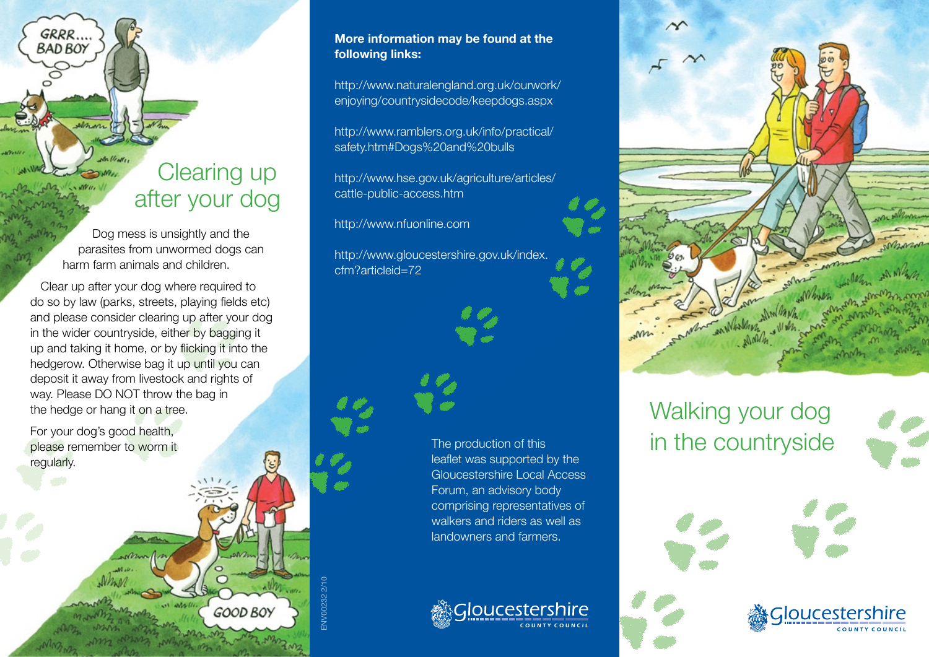## Clearing up after your dog

Dog mess is unsightly and the parasites from unwormed dogs can harm farm animals and children.

Clear up after your dog where required to do so by law (parks, streets, playing fields etc) and please consider clearing up after your dog in the wider countryside, either by bagging it up and taking it home, or by flicking it into the hedgerow. Otherwise bag it up until you can deposit it away from livestock and rights of way. Please DO NOT throw the bag in the hedge or hang it on a tree.

For your dog's good health, please remember to worm it regularly.

GRRR.. **BAD BOY** 

#### **More information may be found at the following links:**

http://www.naturalengland.org.uk/ourwork/ enjoying/countrysidecode/keepdogs.aspx

http://www.ramblers.org.uk/info/practical/ safety.htm#Dogs%20and%20bulls

http://www.hse.gov.uk/agriculture/articles/ cattle-public-access.htm

http://www.nfuonline.com

ENV00232 2/10

ENV00232

**GOOD BOY** 

http://www.gloucestershire.gov.uk/index. cfm?articleid=72



The production of this leaflet was supported by the Gloucestershire Local Access Forum, an advisory body comprising representatives of walkers and riders as well as landowners and farmers.





# Walking your dog in the countryside



**Gloucesters QUNTY COUNCL**